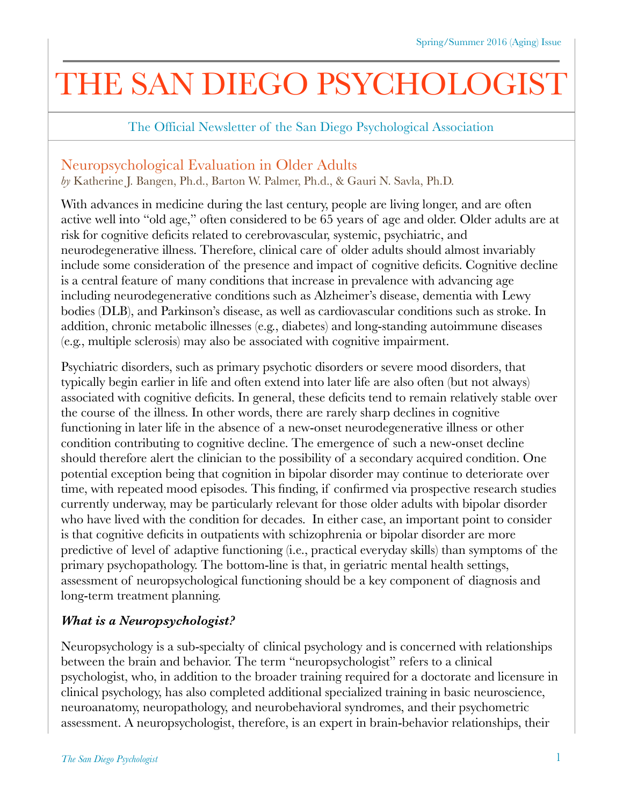# THE SAN DIEGO PSYCHOLOGIST

The Official Newsletter of the San Diego Psychological Association

# Neuropsychological Evaluation in Older Adults

*by* Katherine J. Bangen, Ph.d., Barton W. Palmer, Ph.d., & Gauri N. Savla, Ph.D.

With advances in medicine during the last century, people are living longer, and are often active well into "old age," often considered to be 65 years of age and older. Older adults are at risk for cognitive deficits related to cerebrovascular, systemic, psychiatric, and neurodegenerative illness. Therefore, clinical care of older adults should almost invariably include some consideration of the presence and impact of cognitive deficits. Cognitive decline is a central feature of many conditions that increase in prevalence with advancing age including neurodegenerative conditions such as Alzheimer's disease, dementia with Lewy bodies (DLB), and Parkinson's disease, as well as cardiovascular conditions such as stroke. In addition, chronic metabolic illnesses (e.g., diabetes) and long-standing autoimmune diseases (e.g., multiple sclerosis) may also be associated with cognitive impairment.

Psychiatric disorders, such as primary psychotic disorders or severe mood disorders, that typically begin earlier in life and often extend into later life are also often (but not always) associated with cognitive deficits. In general, these deficits tend to remain relatively stable over the course of the illness. In other words, there are rarely sharp declines in cognitive functioning in later life in the absence of a new-onset neurodegenerative illness or other condition contributing to cognitive decline. The emergence of such a new-onset decline should therefore alert the clinician to the possibility of a secondary acquired condition. One potential exception being that cognition in bipolar disorder may continue to deteriorate over time, with repeated mood episodes. This finding, if confirmed via prospective research studies currently underway, may be particularly relevant for those older adults with bipolar disorder who have lived with the condition for decades. In either case, an important point to consider is that cognitive deficits in outpatients with schizophrenia or bipolar disorder are more predictive of level of adaptive functioning (i.e., practical everyday skills) than symptoms of the primary psychopathology. The bottom-line is that, in geriatric mental health settings, assessment of neuropsychological functioning should be a key component of diagnosis and long-term treatment planning.

# *What is a Neuropsychologist?*

Neuropsychology is a sub-specialty of clinical psychology and is concerned with relationships between the brain and behavior. The term "neuropsychologist" refers to a clinical psychologist, who, in addition to the broader training required for a doctorate and licensure in clinical psychology, has also completed additional specialized training in basic neuroscience, neuroanatomy, neuropathology, and neurobehavioral syndromes, and their psychometric assessment. A neuropsychologist, therefore, is an expert in brain-behavior relationships, their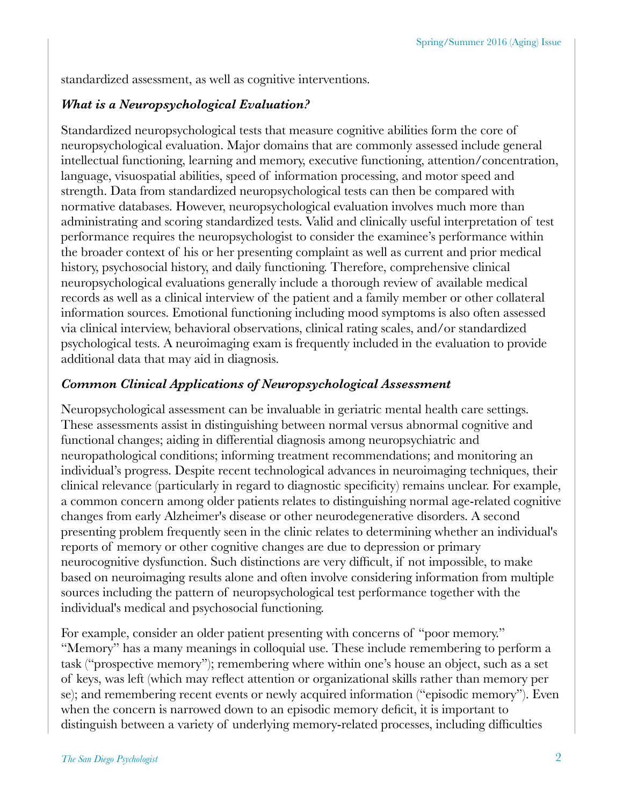standardized assessment, as well as cognitive interventions.

## *What is a Neuropsychological Evaluation?*

Standardized neuropsychological tests that measure cognitive abilities form the core of neuropsychological evaluation. Major domains that are commonly assessed include general intellectual functioning, learning and memory, executive functioning, attention/concentration, language, visuospatial abilities, speed of information processing, and motor speed and strength. Data from standardized neuropsychological tests can then be compared with normative databases. However, neuropsychological evaluation involves much more than administrating and scoring standardized tests. Valid and clinically useful interpretation of test performance requires the neuropsychologist to consider the examinee's performance within the broader context of his or her presenting complaint as well as current and prior medical history, psychosocial history, and daily functioning. Therefore, comprehensive clinical neuropsychological evaluations generally include a thorough review of available medical records as well as a clinical interview of the patient and a family member or other collateral information sources. Emotional functioning including mood symptoms is also often assessed via clinical interview, behavioral observations, clinical rating scales, and/or standardized psychological tests. A neuroimaging exam is frequently included in the evaluation to provide additional data that may aid in diagnosis.

## *Common Clinical Applications of Neuropsychological Assessment*

Neuropsychological assessment can be invaluable in geriatric mental health care settings. These assessments assist in distinguishing between normal versus abnormal cognitive and functional changes; aiding in differential diagnosis among neuropsychiatric and neuropathological conditions; informing treatment recommendations; and monitoring an individual's progress. Despite recent technological advances in neuroimaging techniques, their clinical relevance (particularly in regard to diagnostic specificity) remains unclear. For example, a common concern among older patients relates to distinguishing normal age-related cognitive changes from early Alzheimer's disease or other neurodegenerative disorders. A second presenting problem frequently seen in the clinic relates to determining whether an individual's reports of memory or other cognitive changes are due to depression or primary neurocognitive dysfunction. Such distinctions are very difficult, if not impossible, to make based on neuroimaging results alone and often involve considering information from multiple sources including the pattern of neuropsychological test performance together with the individual's medical and psychosocial functioning.

For example, consider an older patient presenting with concerns of "poor memory." "Memory" has a many meanings in colloquial use. These include remembering to perform a task ("prospective memory"); remembering where within one's house an object, such as a set of keys, was left (which may reflect attention or organizational skills rather than memory per se); and remembering recent events or newly acquired information ("episodic memory"). Even when the concern is narrowed down to an episodic memory deficit, it is important to distinguish between a variety of underlying memory-related processes, including difficulties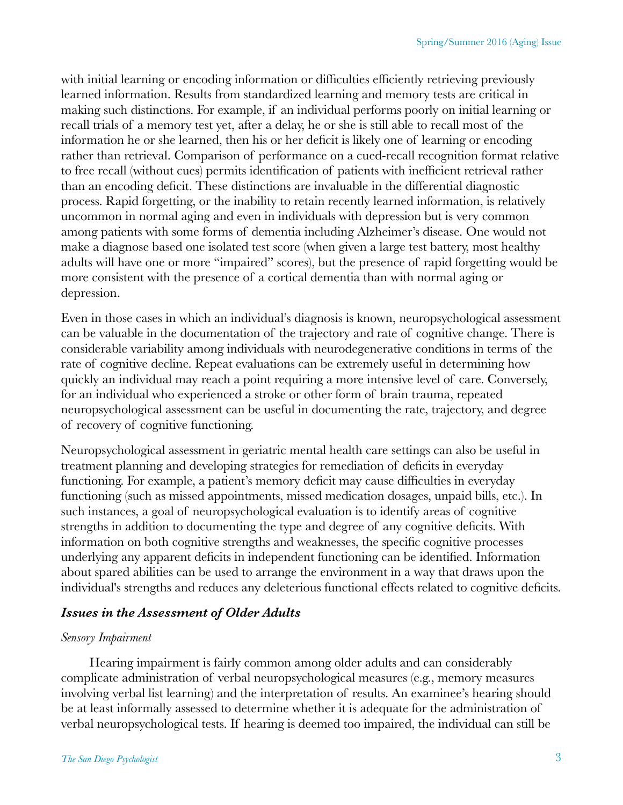with initial learning or encoding information or difficulties efficiently retrieving previously learned information. Results from standardized learning and memory tests are critical in making such distinctions. For example, if an individual performs poorly on initial learning or recall trials of a memory test yet, after a delay, he or she is still able to recall most of the information he or she learned, then his or her deficit is likely one of learning or encoding rather than retrieval. Comparison of performance on a cued-recall recognition format relative to free recall (without cues) permits identification of patients with inefficient retrieval rather than an encoding deficit. These distinctions are invaluable in the differential diagnostic process. Rapid forgetting, or the inability to retain recently learned information, is relatively uncommon in normal aging and even in individuals with depression but is very common among patients with some forms of dementia including Alzheimer's disease. One would not make a diagnose based one isolated test score (when given a large test battery, most healthy adults will have one or more "impaired" scores), but the presence of rapid forgetting would be more consistent with the presence of a cortical dementia than with normal aging or depression.

Even in those cases in which an individual's diagnosis is known, neuropsychological assessment can be valuable in the documentation of the trajectory and rate of cognitive change. There is considerable variability among individuals with neurodegenerative conditions in terms of the rate of cognitive decline. Repeat evaluations can be extremely useful in determining how quickly an individual may reach a point requiring a more intensive level of care. Conversely, for an individual who experienced a stroke or other form of brain trauma, repeated neuropsychological assessment can be useful in documenting the rate, trajectory, and degree of recovery of cognitive functioning.

Neuropsychological assessment in geriatric mental health care settings can also be useful in treatment planning and developing strategies for remediation of deficits in everyday functioning. For example, a patient's memory deficit may cause difficulties in everyday functioning (such as missed appointments, missed medication dosages, unpaid bills, etc.). In such instances, a goal of neuropsychological evaluation is to identify areas of cognitive strengths in addition to documenting the type and degree of any cognitive deficits. With information on both cognitive strengths and weaknesses, the specific cognitive processes underlying any apparent deficits in independent functioning can be identified. Information about spared abilities can be used to arrange the environment in a way that draws upon the individual's strengths and reduces any deleterious functional effects related to cognitive deficits.

#### *Issues in the Assessment of Older Adults*

#### *Sensory Impairment*

Hearing impairment is fairly common among older adults and can considerably complicate administration of verbal neuropsychological measures (e.g., memory measures involving verbal list learning) and the interpretation of results. An examinee's hearing should be at least informally assessed to determine whether it is adequate for the administration of verbal neuropsychological tests. If hearing is deemed too impaired, the individual can still be